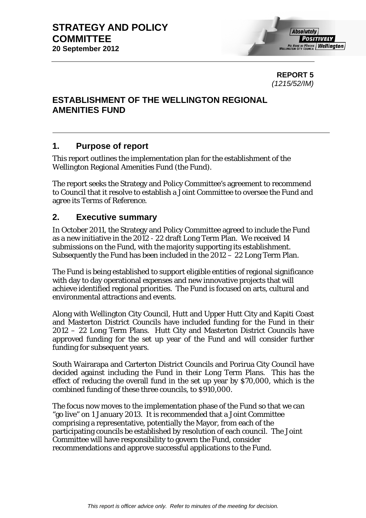**REPORT 5**  *(1215/52/IM)* 

# **ESTABLISHMENT OF THE WELLINGTON REGIONAL AMENITIES FUND**

## **1. Purpose of report**

This report outlines the implementation plan for the establishment of the Wellington Regional Amenities Fund (the Fund).

The report seeks the Strategy and Policy Committee's agreement to recommend to Council that it resolve to establish a Joint Committee to oversee the Fund and agree its Terms of Reference.

# **2. Executive summary**

In October 2011, the Strategy and Policy Committee agreed to include the Fund as a new initiative in the 2012 - 22 draft Long Term Plan. We received 14 submissions on the Fund, with the majority supporting its establishment. Subsequently the Fund has been included in the 2012 – 22 Long Term Plan.

The Fund is being established to support eligible entities of regional significance with day to day operational expenses and new innovative projects that will achieve identified regional priorities. The Fund is focused on arts, cultural and environmental attractions and events.

Along with Wellington City Council, Hutt and Upper Hutt City and Kapiti Coast and Masterton District Councils have included funding for the Fund in their 2012 – 22 Long Term Plans. Hutt City and Masterton District Councils have approved funding for the set up year of the Fund and will consider further funding for subsequent years.

South Wairarapa and Carterton District Councils and Porirua City Council have decided against including the Fund in their Long Term Plans. This has the effect of reducing the overall fund in the set up year by \$70,000, which is the combined funding of these three councils, to \$910,000.

The focus now moves to the implementation phase of the Fund so that we can "go live" on 1 January 2013. It is recommended that a Joint Committee comprising a representative, potentially the Mayor, from each of the participating councils be established by resolution of each council. The Joint Committee will have responsibility to govern the Fund, consider recommendations and approve successful applications to the Fund.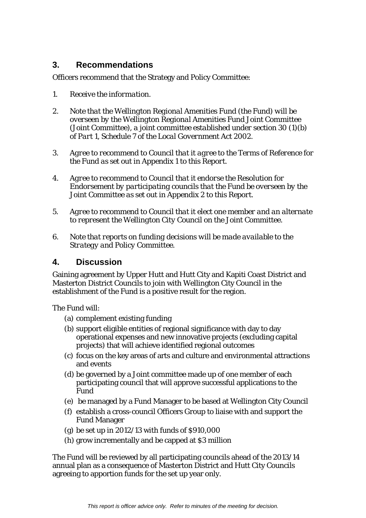# **3. Recommendations**

Officers recommend that the Strategy and Policy Committee:

- *1. Receive the information.*
- *2. Note that the Wellington Regional Amenities Fund (the Fund) will be overseen by the Wellington Regional Amenities Fund Joint Committee (Joint Committee), a joint committee established under section 30 (1)(b) of Part 1, Schedule 7 of the Local Government Act 2002.*
- *3. Agree to recommend to Council that it agree to the Terms of Reference for the Fund as set out in Appendix 1 to this Report.*
- *4. Agree to recommend to Council that it endorse the Resolution for Endorsement by participating councils that the Fund be overseen by the Joint Committee as set out in Appendix 2 to this Report.*
- *5. Agree to recommend to Council that it elect one member and an alternate to represent the Wellington City Council on the Joint Committee.*
- *6. Note that reports on funding decisions will be made available to the Strategy and Policy Committee.*

## **4. Discussion**

Gaining agreement by Upper Hutt and Hutt City and Kapiti Coast District and Masterton District Councils to join with Wellington City Council in the establishment of the Fund is a positive result for the region.

The Fund will:

- (a) complement existing funding
- (b) support eligible entities of regional significance with day to day operational expenses and new innovative projects (excluding capital projects) that will achieve identified regional outcomes
- (c) focus on the key areas of arts and culture and environmental attractions and events
- (d) be governed by a Joint committee made up of one member of each participating council that will approve successful applications to the Fund
- (e) be managed by a Fund Manager to be based at Wellington City Council
- (f) establish a cross-council Officers Group to liaise with and support the Fund Manager
- (g) be set up in  $2012/13$  with funds of  $$910,000$
- (h) grow incrementally and be capped at \$3 million

The Fund will be reviewed by all participating councils ahead of the 2013/14 annual plan as a consequence of Masterton District and Hutt City Councils agreeing to apportion funds for the set up year only.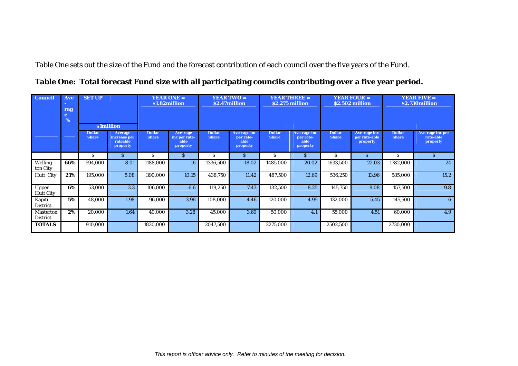Table One sets out the size of the Fund and the forecast contribution of each council over the five years of the Fund.

|  |  |  |  |  |  | Table One: Total forecast Fund size with all participating councils contributing over a five year period. |  |  |
|--|--|--|--|--|--|-----------------------------------------------------------------------------------------------------------|--|--|
|--|--|--|--|--|--|-----------------------------------------------------------------------------------------------------------|--|--|

| <b>Council</b>                      | Ave<br><b>Section</b><br>rag<br>e<br>% | <b>SET UP</b><br><b>S1million</b> |                                                        | <b>YEAR ONE =</b><br><b>YEAR TWO</b> =<br>\$1.82million<br>\$2.47million |                                               | <b>YEAR THREE =</b><br>\$2.275 million |                                                      | <b>YEAR FOUR =</b><br>\$2.502 million |                                                      | <b>YEAR FIVE <math>=</math></b><br>\$2.730million |                                           |                               |                                           |
|-------------------------------------|----------------------------------------|-----------------------------------|--------------------------------------------------------|--------------------------------------------------------------------------|-----------------------------------------------|----------------------------------------|------------------------------------------------------|---------------------------------------|------------------------------------------------------|---------------------------------------------------|-------------------------------------------|-------------------------------|-------------------------------------------|
|                                     |                                        | <b>Dollar</b><br><b>Share</b>     | <b>Average</b><br>increase per<br>rateable<br>property | <b>Dollar</b><br><b>Share</b>                                            | Ave-rage<br>inc per rate-<br>able<br>property | <b>Dollar</b><br><b>Share</b>          | <b>Ave-rage inc</b><br>per rate-<br>able<br>property | <b>Dollar</b><br><b>Share</b>         | <b>Ave-rage inc</b><br>per rate-<br>able<br>property | <b>Dollar</b><br><b>Share</b>                     | Ave-rage inc<br>per rate-able<br>property | <b>Dollar</b><br><b>Share</b> | Ave-rage inc per<br>rate-able<br>property |
|                                     |                                        | S                                 | S.                                                     | S                                                                        | S.                                            | S.                                     | S.                                                   | S                                     | S                                                    | S.                                                | S.                                        | S.                            | $\mathbf{S}$                              |
| Welling-<br>ton City                | 66%                                    | 594,000                           | 8.01                                                   | 1188,000                                                                 | 16                                            | 1336,500                               | 18.02                                                | 1485,000                              | 20.02                                                | 1633,500                                          | 22.03                                     | 1782,000                      | 24                                        |
| <b>Hutt City</b>                    | 21%                                    | 195,000                           | 5.08                                                   | 390.000                                                                  | 10.15                                         | 438,750                                | 11.42                                                | 487.500                               | 12.69                                                | 536,250                                           | 13.96                                     | 585,000                       | 15.2                                      |
| Upper<br><b>Hutt City</b>           | 6%                                     | 53.000                            | 3.3                                                    | 106.000                                                                  | 6.6                                           | 119,250                                | 7.43                                                 | 132.500                               | 8.25                                                 | 145,750                                           | 9.08                                      | 157,500                       | 9.8                                       |
| Kapiti<br>District                  | 5%                                     | 48,000                            | 1.98                                                   | 96,000                                                                   | 3.96                                          | 108,000                                | 4.46                                                 | 120,000                               | 4.95                                                 | 132,000                                           | 5.45                                      | 145,500                       | 6                                         |
| <b>Masterton</b><br><b>District</b> | 2%                                     | 20,000                            | 1.64                                                   | 40,000                                                                   | 3.28                                          | 45,000                                 | 3.69                                                 | 50,000                                | 4.1                                                  | 55,000                                            | 4.51                                      | 60,000                        | 4.9                                       |
| <b>TOTALS</b>                       |                                        | 910,000                           |                                                        | 1820,000                                                                 |                                               | 2047,500                               |                                                      | 2275,000                              |                                                      | 2502,500                                          |                                           | 2730,000                      |                                           |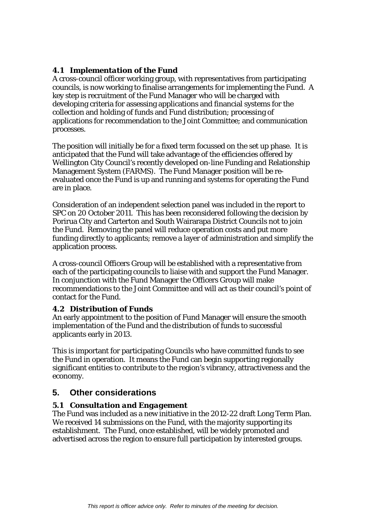### *4.1 Implementation of the Fund*

A cross-council officer working group, with representatives from participating councils, is now working to finalise arrangements for implementing the Fund. A key step is recruitment of the Fund Manager who will be charged with developing criteria for assessing applications and financial systems for the collection and holding of funds and Fund distribution; processing of applications for recommendation to the Joint Committee; and communication processes.

The position will initially be for a fixed term focussed on the set up phase. It is anticipated that the Fund will take advantage of the efficiencies offered by Wellington City Council's recently developed on-line Funding and Relationship Management System (FARMS). The Fund Manager position will be reevaluated once the Fund is up and running and systems for operating the Fund are in place.

Consideration of an independent selection panel was included in the report to SPC on 20 October 2011. This has been reconsidered following the decision by Porirua City and Carterton and South Wairarapa District Councils not to join the Fund. Removing the panel will reduce operation costs and put more funding directly to applicants; remove a layer of administration and simplify the application process.

A cross-council Officers Group will be established with a representative from each of the participating councils to liaise with and support the Fund Manager. In conjunction with the Fund Manager the Officers Group will make recommendations to the Joint Committee and will act as their council's point of contact for the Fund.

#### *4.2 Distribution of Funds*

An early appointment to the position of Fund Manager will ensure the smooth implementation of the Fund and the distribution of funds to successful applicants early in 2013.

This is important for participating Councils who have committed funds to see the Fund in operation. It means the Fund can begin supporting regionally significant entities to contribute to the region's vibrancy, attractiveness and the economy.

## **5. Other considerations**

#### *5.1 Consultation and Engagement*

The Fund was included as a new initiative in the 2012-22 draft Long Term Plan. We received 14 submissions on the Fund, with the majority supporting its establishment. The Fund, once established, will be widely promoted and advertised across the region to ensure full participation by interested groups.